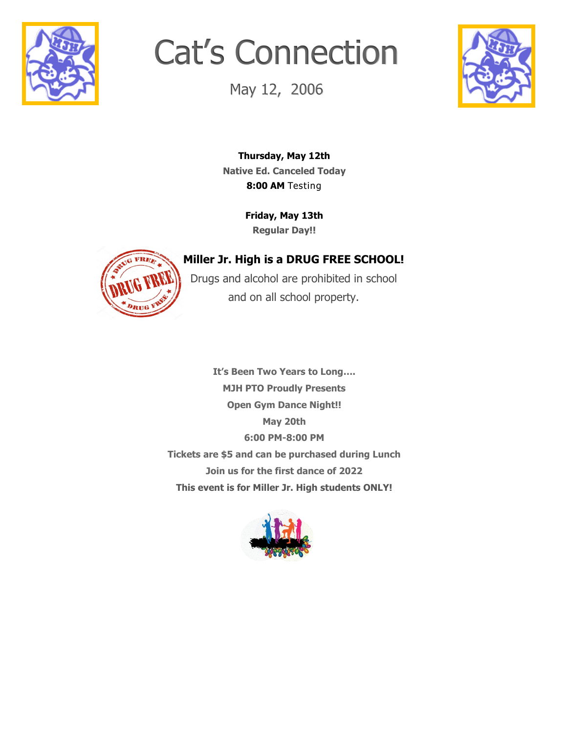

# Cat's Connection

May 12, 2006



**Thursday, May 12th Native Ed. Canceled Today 8:00 AM** Testing

> **Friday, May 13th Regular Day!!**



## **Miller Jr. High is a DRUG FREE SCHOOL!**

Drugs and alcohol are prohibited in school and on all school property.

**It's Been Two Years to Long…. MJH PTO Proudly Presents Open Gym Dance Night!! May 20th 6:00 PM-8:00 PM Tickets are \$5 and can be purchased during Lunch Join us for the first dance of 2022 This event is for Miller Jr. High students ONLY!**

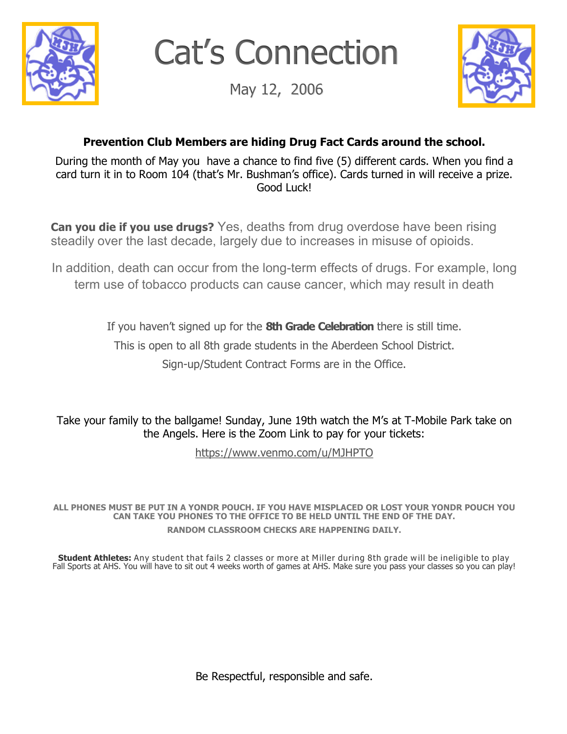

Cat's Connection

May 12, 2006



### **Prevention Club Members are hiding Drug Fact Cards around the school.**

During the month of May you have a chance to find five (5) different cards. When you find a card turn it in to Room 104 (that's Mr. Bushman's office). Cards turned in will receive a prize. Good Luck!

**Can you die if you use drugs?** Yes, deaths from drug overdose have been rising steadily over the last decade, largely due to increases in misuse of opioids.

In addition, death can occur from the long-term effects of drugs. For example, long term use of tobacco products can cause cancer, which may result in death

If you haven't signed up for the **8th Grade Celebration** there is still time.

This is open to all 8th grade students in the Aberdeen School District.

Sign-up/Student Contract Forms are in the Office.

Take your family to the ballgame! Sunday, June 19th watch the M's at T-Mobile Park take on the Angels. Here is the Zoom Link to pay for your tickets:

[https://www.venmo.com/u/MJHPTO](mailto:https://www.venmo.com/u/MJHPTO)

**ALL PHONES MUST BE PUT IN A YONDR POUCH. IF YOU HAVE MISPLACED OR LOST YOUR YONDR POUCH YOU CAN TAKE YOU PHONES TO THE OFFICE TO BE HELD UNTIL THE END OF THE DAY. RANDOM CLASSROOM CHECKS ARE HAPPENING DAILY.**

**Student Athletes:** Any student that fails 2 classes or more at Miller during 8th grade will be ineligible to play Fall Sports at AHS. You will have to sit out 4 weeks worth of games at AHS. Make sure you pass your classes so you can play!

Be Respectful, responsible and safe.